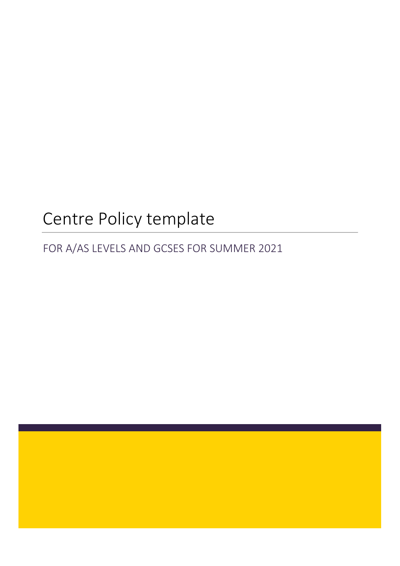# Centre Policy template

FOR A/AS LEVELS AND GCSES FOR SUMMER 2021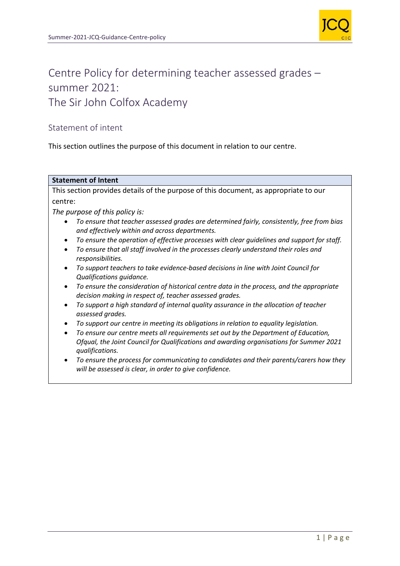

## Centre Policy for determining teacher assessed grades – summer 2021: The Sir John Colfox Academy

### Statement of intent

This section outlines the purpose of this document in relation to our centre.

#### **Statement of Intent**

This section provides details of the purpose of this document, as appropriate to our centre:

*The purpose of this policy is:* 

- *To ensure that teacher assessed grades are determined fairly, consistently, free from bias and effectively within and across departments.*
- *To ensure the operation of effective processes with clear guidelines and support for staff.*
- *To ensure that all staff involved in the processes clearly understand their roles and responsibilities.*
- *To support teachers to take evidence-based decisions in line with Joint Council for Qualifications guidance.*
- *To ensure the consideration of historical centre data in the process, and the appropriate decision making in respect of, teacher assessed grades.*
- *To support a high standard of internal quality assurance in the allocation of teacher assessed grades.*
- *To support our centre in meeting its obligations in relation to equality legislation.*
- *To ensure our centre meets all requirements set out by the Department of Education, Ofqual, the Joint Council for Qualifications and awarding organisations for Summer 2021 qualifications.*
- *To ensure the process for communicating to candidates and their parents/carers how they will be assessed is clear, in order to give confidence.*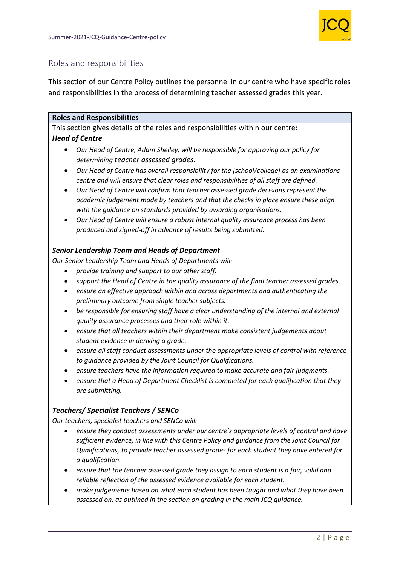

### Roles and responsibilities

This section of our Centre Policy outlines the personnel in our centre who have specific roles and responsibilities in the process of determining teacher assessed grades this year.

### **Roles and Responsibilities**

This section gives details of the roles and responsibilities within our centre: *Head of Centre* 

- *Our Head of Centre, Adam Shelley, will be responsible for approving our policy for determining teacher assessed grades.*
- *Our Head of Centre has overall responsibility for the [school/college] as an examinations centre and will ensure that clear roles and responsibilities of all staff are defined.*
- *Our Head of Centre will confirm that teacher assessed grade decisions represent the academic judgement made by teachers and that the checks in place ensure these align with the guidance on standards provided by awarding organisations.*
- *Our Head of Centre will ensure a robust internal quality assurance process has been produced and signed-off in advance of results being submitted.*

### *Senior Leadership Team and Heads of Department*

*Our Senior Leadership Team and Heads of Departments will:*

- *provide training and support to our other staff.*
- *support the Head of Centre in the quality assurance of the final teacher assessed grades.*
- *ensure an effective approach within and across departments and authenticating the preliminary outcome from single teacher subjects.*
- *be responsible for ensuring staff have a clear understanding of the internal and external quality assurance processes and their role within it.*
- *ensure that all teachers within their department make consistent judgements about student evidence in deriving a grade.*
- *ensure all staff conduct assessments under the appropriate levels of control with reference to guidance provided by the Joint Council for Qualifications.*
- *ensure teachers have the information required to make accurate and fair judgments.*
- *ensure that a Head of Department Checklist is completed for each qualification that they are submitting.*

### *Teachers/ Specialist Teachers / SENCo*

*Our teachers, specialist teachers and SENCo will:*

- *ensure they conduct assessments under our centre's appropriate levels of control and have sufficient evidence, in line with this Centre Policy and guidance from the Joint Council for Qualifications, to provide teacher assessed grades for each student they have entered for a qualification.*
- *ensure that the teacher assessed grade they assign to each student is a fair, valid and reliable reflection of the assessed evidence available for each student.*
- *make judgements based on what each student has been taught and what they have been assessed on, as outlined in the section on grading in the main JCQ guidance.*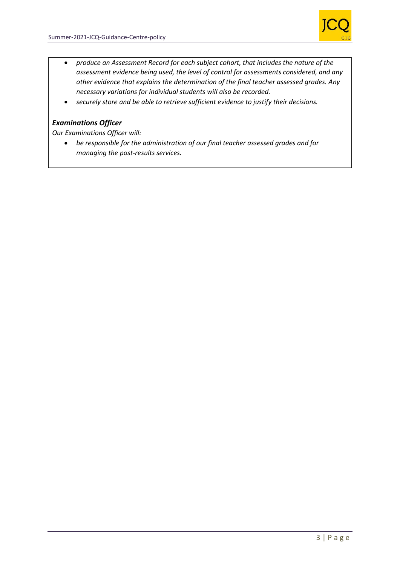

- *produce an Assessment Record for each subject cohort, that includes the nature of the assessment evidence being used, the level of control for assessments considered, and any other evidence that explains the determination of the final teacher assessed grades. Any necessary variations for individual students will also be recorded.*
- *securely store and be able to retrieve sufficient evidence to justify their decisions.*

### *Examinations Officer*

*Our Examinations Officer will:*

 *be responsible for the administration of our final teacher assessed grades and for managing the post-results services.*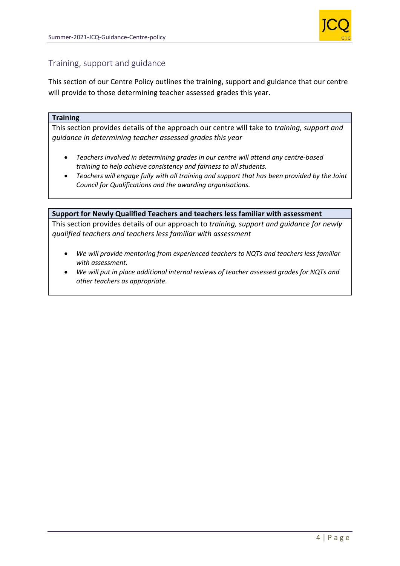

### Training, support and guidance

This section of our Centre Policy outlines the training, support and guidance that our centre will provide to those determining teacher assessed grades this year.

#### **Training**

This section provides details of the approach our centre will take to *training, support and guidance in determining teacher assessed grades this year*

- *Teachers involved in determining grades in our centre will attend any centre-based training to help achieve consistency and fairness to all students.*
- *Teachers will engage fully with all training and support that has been provided by the Joint Council for Qualifications and the awarding organisations.*

#### **Support for Newly Qualified Teachers and teachers less familiar with assessment**

This section provides details of our approach to *training, support and guidance for newly qualified teachers and teachers less familiar with assessment* 

- *We will provide mentoring from experienced teachers to NQTs and teachers less familiar with assessment.*
- *We will put in place additional internal reviews of teacher assessed grades for NQTs and other teachers as appropriate.*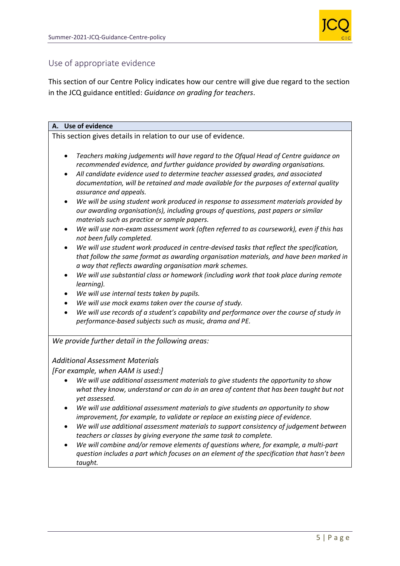

### Use of appropriate evidence

This section of our Centre Policy indicates how our centre will give due regard to the section in the JCQ guidance entitled: *Guidance on grading for teachers*.

### **A. Use of evidence**

This section gives details in relation to our use of evidence.

- *Teachers making judgements will have regard to the Ofqual Head of Centre guidance on recommended evidence, and further guidance provided by awarding organisations.*
- *All candidate evidence used to determine teacher assessed grades, and associated documentation, will be retained and made available for the purposes of external quality assurance and appeals.*
- *We will be using student work produced in response to assessment materials provided by our awarding organisation(s), including groups of questions, past papers or similar materials such as practice or sample papers.*
- *We will use non-exam assessment work (often referred to as coursework), even if this has not been fully completed.*
- *We will use student work produced in centre-devised tasks that reflect the specification, that follow the same format as awarding organisation materials, and have been marked in a way that reflects awarding organisation mark schemes.*
- *We will use substantial class or homework (including work that took place during remote learning).*
- *We will use internal tests taken by pupils.*
- *We will use mock exams taken over the course of study.*
- *We will use records of a student's capability and performance over the course of study in performance-based subjects such as music, drama and PE.*

*We provide further detail in the following areas:* 

#### *Additional Assessment Materials*

*[For example, when AAM is used:]* 

- *We will use additional assessment materials to give students the opportunity to show what they know, understand or can do in an area of content that has been taught but not yet assessed.*
- *We will use additional assessment materials to give students an opportunity to show improvement, for example, to validate or replace an existing piece of evidence.*
- *We will use additional assessment materials to support consistency of judgement between teachers or classes by giving everyone the same task to complete.*
- *We will combine and/or remove elements of questions where, for example, a multi-part question includes a part which focuses on an element of the specification that hasn't been taught.*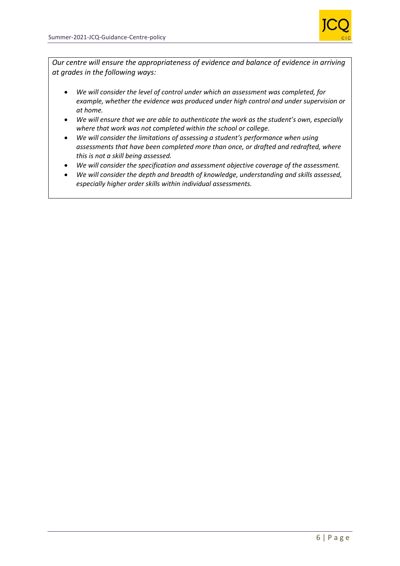

*Our centre will ensure the appropriateness of evidence and balance of evidence in arriving at grades in the following ways:* 

- *We will consider the level of control under which an assessment was completed, for example, whether the evidence was produced under high control and under supervision or at home.*
- *We will ensure that we are able to authenticate the work as the student's own, especially where that work was not completed within the school or college.*
- *We will consider the limitations of assessing a student's performance when using assessments that have been completed more than once, or drafted and redrafted, where this is not a skill being assessed.*
- *We will consider the specification and assessment objective coverage of the assessment.*
- *We will consider the depth and breadth of knowledge, understanding and skills assessed, especially higher order skills within individual assessments.*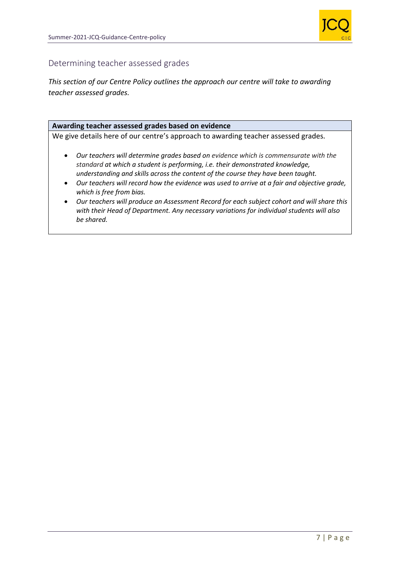

### Determining teacher assessed grades

*This section of our Centre Policy outlines the approach our centre will take to awarding teacher assessed grades.* 

#### **Awarding teacher assessed grades based on evidence**

We give details here of our centre's approach to awarding teacher assessed grades*.* 

- *Our teachers will determine grades based on evidence which is commensurate with the standard at which a student is performing, i.e. their demonstrated knowledge, understanding and skills across the content of the course they have been taught.*
- *Our teachers will record how the evidence was used to arrive at a fair and objective grade, which is free from bias.*
- *Our teachers will produce an Assessment Record for each subject cohort and will share this with their Head of Department. Any necessary variations for individual students will also be shared.*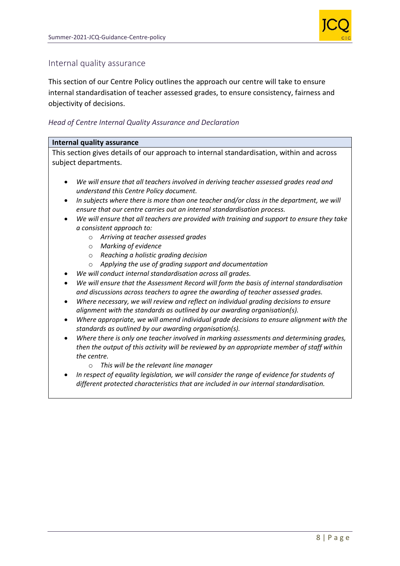

### Internal quality assurance

This section of our Centre Policy outlines the approach our centre will take to ensure internal standardisation of teacher assessed grades, to ensure consistency, fairness and objectivity of decisions.

### *Head of Centre Internal Quality Assurance and Declaration*

#### **Internal quality assurance**

This section gives details of our approach to internal standardisation, within and across subject departments.

- *We will ensure that all teachers involved in deriving teacher assessed grades read and understand this Centre Policy document.*
- *In subjects where there is more than one teacher and/or class in the department, we will ensure that our centre carries out an internal standardisation process.*
- *We will ensure that all teachers are provided with training and support to ensure they take a consistent approach to:* 
	- o *Arriving at teacher assessed grades*
	- o *Marking of evidence*
	- o *Reaching a holistic grading decision*
	- o *Applying the use of grading support and documentation*
- *We will conduct internal standardisation across all grades.*
- *We will ensure that the Assessment Record will form the basis of internal standardisation and discussions across teachers to agree the awarding of teacher assessed grades.*
- *Where necessary, we will review and reflect on individual grading decisions to ensure alignment with the standards as outlined by our awarding organisation(s).*
- *Where appropriate, we will amend individual grade decisions to ensure alignment with the standards as outlined by our awarding organisation(s).*
- *Where there is only one teacher involved in marking assessments and determining grades, then the output of this activity will be reviewed by an appropriate member of staff within the centre.* 
	- o *This will be the relevant line manager*
- *In respect of equality legislation, we will consider the range of evidence for students of different protected characteristics that are included in our internal standardisation.*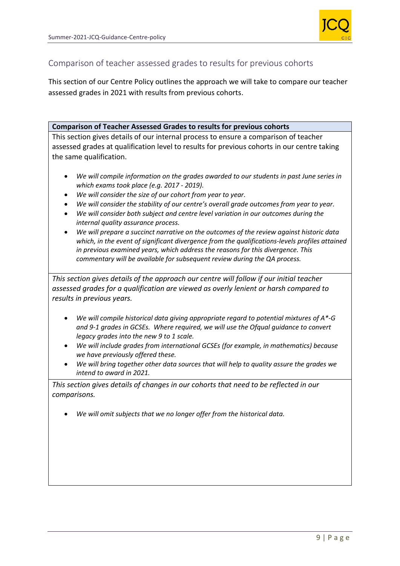

### Comparison of teacher assessed grades to results for previous cohorts

This section of our Centre Policy outlines the approach we will take to compare our teacher assessed grades in 2021 with results from previous cohorts.

### **Comparison of Teacher Assessed Grades to results for previous cohorts**

This section gives details of our internal process to ensure a comparison of teacher assessed grades at qualification level to results for previous cohorts in our centre taking the same qualification.

- *We will compile information on the grades awarded to our students in past June series in which exams took place (e.g. 2017 - 2019).*
- *We will consider the size of our cohort from year to year.*
- *We will consider the stability of our centre's overall grade outcomes from year to year.*
- *We will consider both subject and centre level variation in our outcomes during the internal quality assurance process.*
- *We will prepare a succinct narrative on the outcomes of the review against historic data which, in the event of significant divergence from the qualifications-levels profiles attained in previous examined years, which address the reasons for this divergence. This commentary will be available for subsequent review during the QA process.*

*This section gives details of the approach our centre will follow if our initial teacher assessed grades for a qualification are viewed as overly lenient or harsh compared to results in previous years.* 

- *We will compile historical data giving appropriate regard to potential mixtures of A\*-G and 9-1 grades in GCSEs. Where required, we will use the Ofqual guidance to convert legacy grades into the new 9 to 1 scale.*
- *We will include grades from international GCSEs (for example, in mathematics) because we have previously offered these.*
- *We will bring together other data sources that will help to quality assure the grades we intend to award in 2021.*

*This section gives details of changes in our cohorts that need to be reflected in our comparisons.* 

*We will omit subjects that we no longer offer from the historical data.*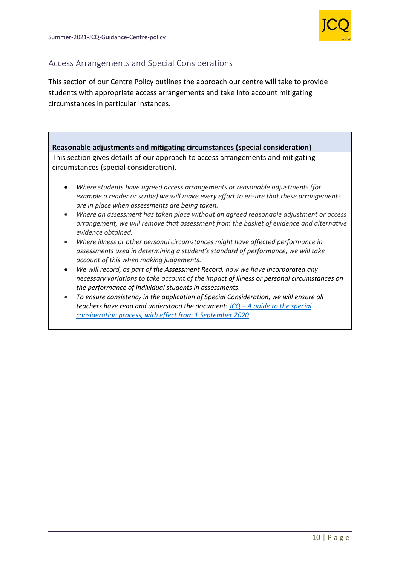

### Access Arrangements and Special Considerations

This section of our Centre Policy outlines the approach our centre will take to provide students with appropriate access arrangements and take into account mitigating circumstances in particular instances.

### **Reasonable adjustments and mitigating circumstances (special consideration)**

This section gives details of our approach to access arrangements and mitigating circumstances (special consideration).

- *Where students have agreed access arrangements or reasonable adjustments (for example a reader or scribe) we will make every effort to ensure that these arrangements are in place when assessments are being taken.*
- *Where an assessment has taken place without an agreed reasonable adjustment or access arrangement, we will remove that assessment from the basket of evidence and alternative evidence obtained.*
- *Where illness or other personal circumstances might have affected performance in assessments used in determining a student's standard of performance, we will take account of this when making judgements.*
- *We will record, as part of the Assessment Record, how we have incorporated any necessary variations to take account of the impact of illness or personal circumstances on the performance of individual students in assessments.*
- *To ensure consistency in the application of Special Consideration, we will ensure all teachers have read and understood the document: JCQ – [A guide to the special](https://www.jcq.org.uk/wp-content/uploads/2020/08/A-guide-to-the-spec-con-process-202021-Website-version.pdf)  [consideration process, with effect from 1 September 2020](https://www.jcq.org.uk/wp-content/uploads/2020/08/A-guide-to-the-spec-con-process-202021-Website-version.pdf)*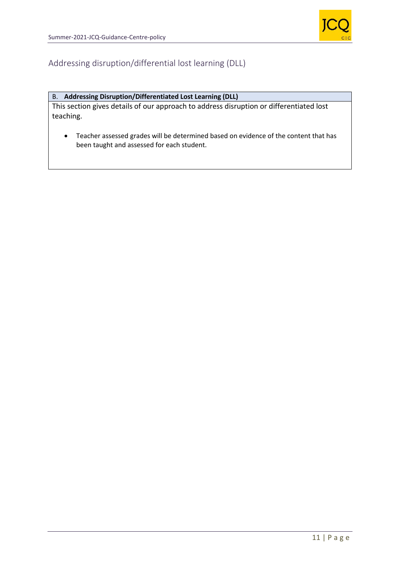

### Addressing disruption/differential lost learning (DLL)

### B. **Addressing Disruption/Differentiated Lost Learning (DLL)**

This section gives details of our approach to address disruption or differentiated lost teaching.

 Teacher assessed grades will be determined based on evidence of the content that has been taught and assessed for each student.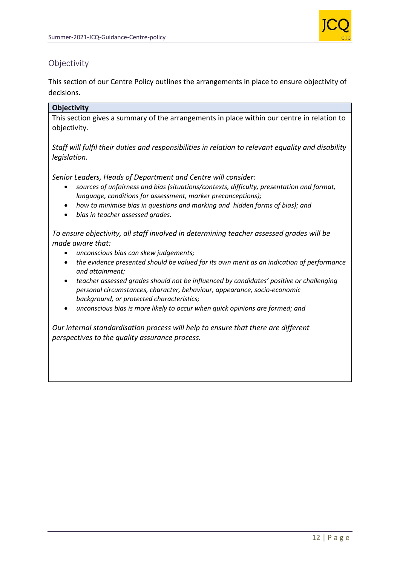

### **Objectivity**

This section of our Centre Policy outlines the arrangements in place to ensure objectivity of decisions.

### **Objectivity**

This section gives a summary of the arrangements in place within our centre in relation to objectivity.

*Staff will fulfil their duties and responsibilities in relation to relevant equality and disability legislation.* 

*Senior Leaders, Heads of Department and Centre will consider:* 

- *sources of unfairness and bias (situations/contexts, difficulty, presentation and format, language, conditions for assessment, marker preconceptions);*
- *how to minimise bias in questions and marking and hidden forms of bias); and*
- *bias in teacher assessed grades.*

*To ensure objectivity, all staff involved in determining teacher assessed grades will be made aware that:* 

- *unconscious bias can skew judgements;*
- *the evidence presented should be valued for its own merit as an indication of performance and attainment;*
- *teacher assessed grades should not be influenced by candidates' positive or challenging personal circumstances, character, behaviour, appearance, socio-economic background, or protected characteristics;*
- *unconscious bias is more likely to occur when quick opinions are formed; and*

*Our internal standardisation process will help to ensure that there are different perspectives to the quality assurance process.*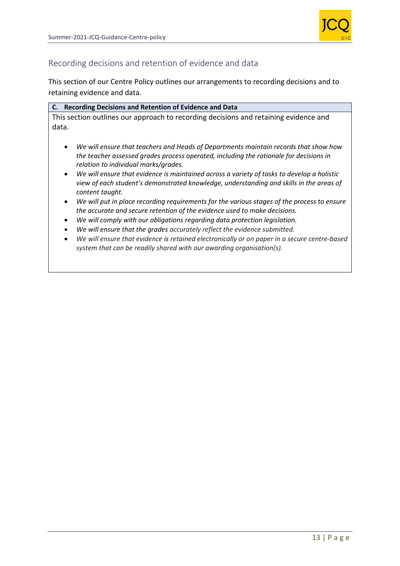

### Recording decisions and retention of evidence and data

This section of our Centre Policy outlines our arrangements to recording decisions and to retaining evidence and data.

|       | C. Recording Decisions and Retention of Evidence and Data                            |
|-------|--------------------------------------------------------------------------------------|
|       | This section outlines our approach to recording decisions and retaining evidence and |
| data. |                                                                                      |

- *We will ensure that teachers and Heads of Departments maintain records that show how the teacher assessed grades process operated, including the rationale for decisions in relation to individual marks/grades.*
- *We will ensure that evidence is maintained across a variety of tasks to develop a holistic view of each student's demonstrated knowledge, understanding and skills in the areas of content taught.*
- *We will put in place recording requirements for the various stages of the process to ensure the accurate and secure retention of the evidence used to make decisions.*
- *We will comply with our obligations regarding data protection legislation.*
- *We will ensure that the grades accurately reflect the evidence submitted.*
- *We will ensure that evidence is retained electronically or on paper in a secure centre-based system that can be readily shared with our awarding organisation(s).*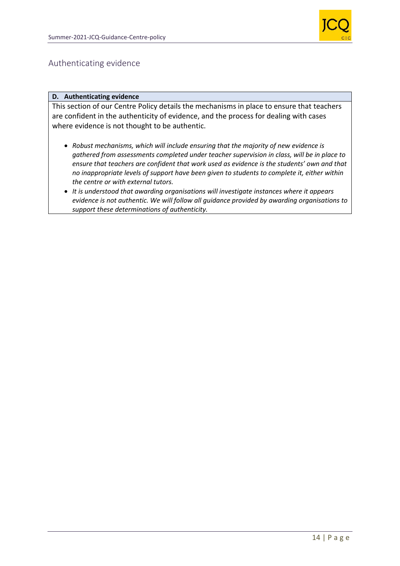

### Authenticating evidence

#### **D. Authenticating evidence**

This section of our Centre Policy details the mechanisms in place to ensure that teachers are confident in the authenticity of evidence, and the process for dealing with cases where evidence is not thought to be authentic.

- *Robust mechanisms, which will include ensuring that the majority of new evidence is gathered from assessments completed under teacher supervision in class, will be in place to ensure that teachers are confident that work used as evidence is the students' own and that no inappropriate levels of support have been given to students to complete it, either within the centre or with external tutors.*
- *It is understood that awarding organisations will investigate instances where it appears evidence is not authentic. We will follow all guidance provided by awarding organisations to support these determinations of authenticity.*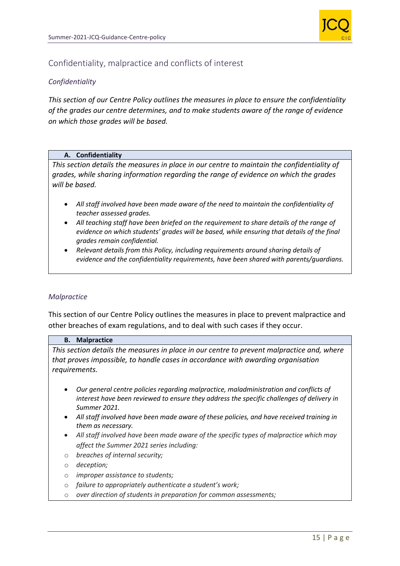

### Confidentiality, malpractice and conflicts of interest

### *Confidentiality*

*This section of our Centre Policy outlines the measures in place to ensure the confidentiality of the grades our centre determines, and to make students aware of the range of evidence on which those grades will be based.* 

#### **A. Confidentiality**

*This section details the measures in place in our centre to maintain the confidentiality of grades, while sharing information regarding the range of evidence on which the grades will be based.* 

- *All staff involved have been made aware of the need to maintain the confidentiality of teacher assessed grades.*
- *All teaching staff have been briefed on the requirement to share details of the range of evidence on which students' grades will be based, while ensuring that details of the final grades remain confidential.*
- *Relevant details from this Policy, including requirements around sharing details of evidence and the confidentiality requirements, have been shared with parents/guardians.*

#### *Malpractice*

This section of our Centre Policy outlines the measures in place to prevent malpractice and other breaches of exam regulations, and to deal with such cases if they occur.

#### **B. Malpractice**

*This section details the measures in place in our centre to prevent malpractice and, where that proves impossible, to handle cases in accordance with awarding organisation requirements.* 

- *Our general centre policies regarding malpractice, maladministration and conflicts of interest have been reviewed to ensure they address the specific challenges of delivery in Summer 2021.*
- *All staff involved have been made aware of these policies, and have received training in them as necessary.*
- *All staff involved have been made aware of the specific types of malpractice which may affect the Summer 2021 series including:*
- o *breaches of internal security;*
- o *deception;*
- o *improper assistance to students;*
- o *failure to appropriately authenticate a student's work;*
- o *over direction of students in preparation for common assessments;*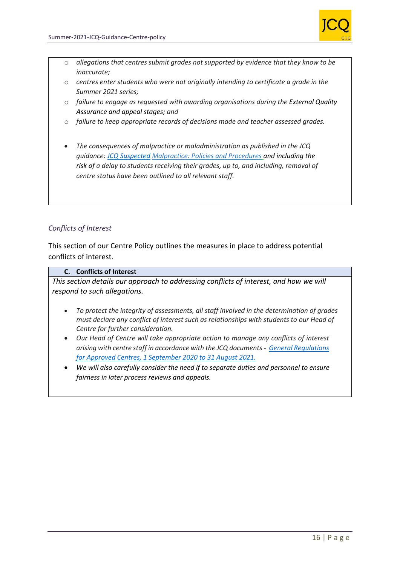

- o *allegations that centres submit grades not supported by evidence that they know to be inaccurate;*
- o *centres enter students who were not originally intending to certificate a grade in the Summer 2021 series;*
- o *failure to engage as requested with awarding organisations during the External Quality Assurance and appeal stages; and*
- o *failure to keep appropriate records of decisions made and teacher assessed grades.*
- *The consequences of malpractice or maladministration as published in the JCQ guidance: [JCQ Suspected](https://www.jcq.org.uk/exams-office/malpractice/jcq-suspected-malpractice-policies-and-procedures-2019-2020) Malpractice: Policies and Procedures and including the risk of a delay to students receiving their grades, up to, and including, removal of centre status have been outlined to all relevant staff.*

### *Conflicts of Interest*

This section of our Centre Policy outlines the measures in place to address potential conflicts of interest.

#### **C. Conflicts of Interest**

*This section details our approach to addressing conflicts of interest, and how we will respond to such allegations.* 

- *To protect the integrity of assessments, all staff involved in the determination of grades must declare any conflict of interest such as relationships with students to our Head of Centre for further consideration.*
- *Our Head of Centre will take appropriate action to manage any conflicts of interest arising with centre staff in accordance with the JCQ documents - [General Regulations](https://www.jcq.org.uk/wp-content/uploads/2020/09/Gen_regs_approved_centres_20-21_FINAL.pdf)  [for Approved Centres, 1 September 2020 to 31 August 2021.](https://www.jcq.org.uk/wp-content/uploads/2020/09/Gen_regs_approved_centres_20-21_FINAL.pdf)*
- *We will also carefully consider the need if to separate duties and personnel to ensure fairness in later process reviews and appeals.*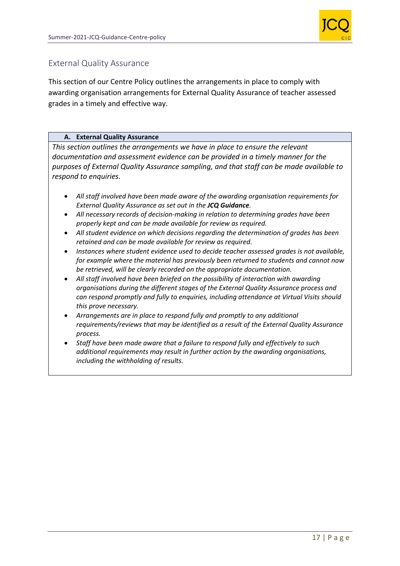

### External Quality Assurance

This section of our Centre Policy outlines the arrangements in place to comply with awarding organisation arrangements for External Quality Assurance of teacher assessed grades in a timely and effective way.

### **A. External Quality Assurance**

*This section outlines the arrangements we have in place to ensure the relevant documentation and assessment evidence can be provided in a timely manner for the purposes of External Quality Assurance sampling, and that staff can be made available to respond to enquiries.* 

- *All staff involved have been made aware of the awarding organisation requirements for External Quality Assurance as set out in the JCQ Guidance.*
- *All necessary records of decision-making in relation to determining grades have been properly kept and can be made available for review as required.*
- *All student evidence on which decisions regarding the determination of grades has been retained and can be made available for review as required.*
- *Instances where student evidence used to decide teacher assessed grades is not available, for example where the material has previously been returned to students and cannot now be retrieved, will be clearly recorded on the appropriate documentation.*
- *All staff involved have been briefed on the possibility of interaction with awarding organisations during the different stages of the External Quality Assurance process and can respond promptly and fully to enquiries, including attendance at Virtual Visits should this prove necessary.*
- *Arrangements are in place to respond fully and promptly to any additional requirements/reviews that may be identified as a result of the External Quality Assurance process.*
- *Staff have been made aware that a failure to respond fully and effectively to such additional requirements may result in further action by the awarding organisations, including the withholding of results.*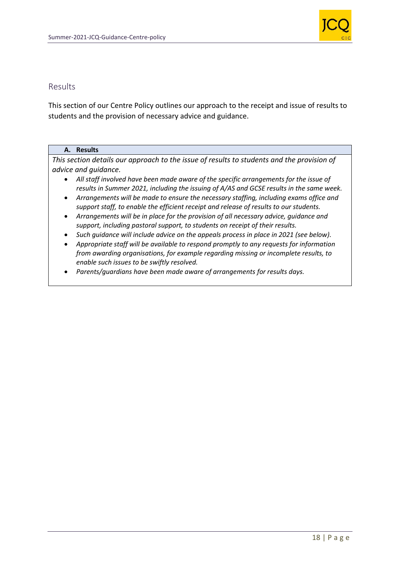

### Results

This section of our Centre Policy outlines our approach to the receipt and issue of results to students and the provision of necessary advice and guidance.

#### **A. Results**

*This section details our approach to the issue of results to students and the provision of advice and guidance.* 

- *All staff involved have been made aware of the specific arrangements for the issue of results in Summer 2021, including the issuing of A/AS and GCSE results in the same week.*
- *Arrangements will be made to ensure the necessary staffing, including exams office and support staff, to enable the efficient receipt and release of results to our students.*
- *Arrangements will be in place for the provision of all necessary advice, guidance and support, including pastoral support, to students on receipt of their results.*
- *Such guidance will include advice on the appeals process in place in 2021 (see below).*
- *Appropriate staff will be available to respond promptly to any requests for information from awarding organisations, for example regarding missing or incomplete results, to enable such issues to be swiftly resolved.*
- *Parents/guardians have been made aware of arrangements for results days.*